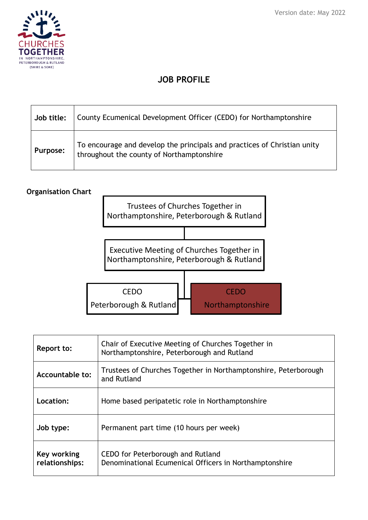

# **JOB PROFILE**

| Job title: | County Ecumenical Development Officer (CEDO) for Northamptonshire                                                     |
|------------|-----------------------------------------------------------------------------------------------------------------------|
| Purpose:   | To encourage and develop the principals and practices of Christian unity<br>throughout the county of Northamptonshire |

#### **Organisation Chart**



| Report to:                    | Chair of Executive Meeting of Churches Together in<br>Northamptonshire, Peterborough and Rutland |
|-------------------------------|--------------------------------------------------------------------------------------------------|
| Accountable to:               | Trustees of Churches Together in Northamptonshire, Peterborough<br>and Rutland                   |
| Location:                     | Home based peripatetic role in Northamptonshire                                                  |
| Job type:                     | Permanent part time (10 hours per week)                                                          |
| Key working<br>relationships: | CEDO for Peterborough and Rutland<br>Denominational Ecumenical Officers in Northamptonshire      |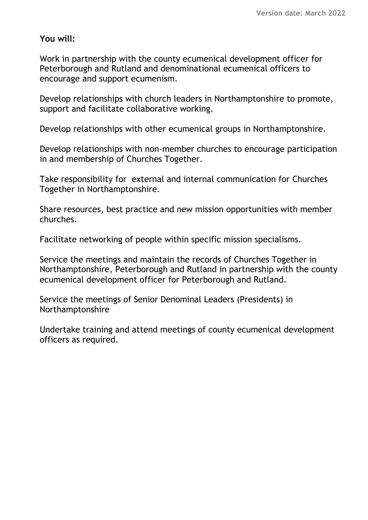## **You will:**

Work in partnership with the county ecumenical development officer for Peterborough and Rutland and denominational ecumenical officers to encourage and support ecumenism.

Develop relationships with church leaders in Northamptonshire to promote, support and facilitate collaborative working.

Develop relationships with other ecumenical groups in Northamptonshire.

Develop relationships with non-member churches to encourage participation in and membership of Churches Together.

Take responsibility for external and internal communication for Churches Together in Northamptonshire.

Share resources, best practice and new mission opportunities with member churches.

Facilitate networking of people within specific mission specialisms.

Service the meetings and maintain the records of Churches Together in Northamptonshire, Peterborough and Rutland in partnership with the county ecumenical development officer for Peterborough and Rutland.

Service the meetings of Senior Denominal Leaders (Presidents) in Northamptonshire

Undertake training and attend meetings of county ecumenical development officers as required.